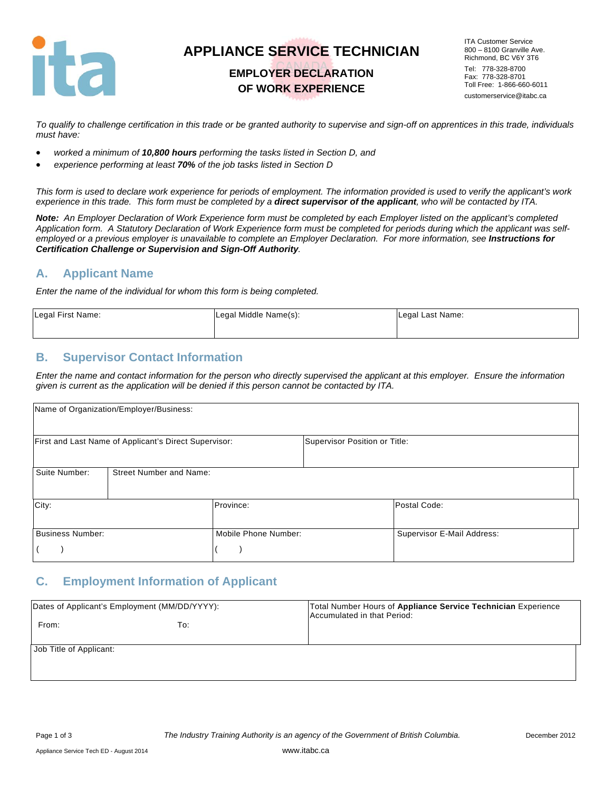

# **APPLIANCE SERVICE TECHNICIAN**

## **EMPLOYER DECLARATION OF WORK EXPERIENCE**

ITA Customer Service 800 – 8100 Granville Ave. Richmond, BC V6Y 3T6 Tel: 778-328-8700 Fax: 778-328-8701 Toll Free: 1-866-660-6011 customerservice@itabc.ca

*To qualify to challenge certification in this trade or be granted authority to supervise and sign-off on apprentices in this trade, individuals must have:* 

- *worked a minimum of 10,800 hours performing the tasks listed in Section D, and*
- *experience performing at least 70% of the job tasks listed in Section D*

*This form is used to declare work experience for periods of employment. The information provided is used to verify the applicant's work experience in this trade. This form must be completed by a direct supervisor of the applicant, who will be contacted by ITA.* 

*Note: An Employer Declaration of Work Experience form must be completed by each Employer listed on the applicant's completed Application form. A Statutory Declaration of Work Experience form must be completed for periods during which the applicant was self*employed or a previous employer is unavailable to complete an Employer Declaration. For more information, see *Instructions for Certification Challenge or Supervision and Sign-Off Authority.* 

#### **A. Applicant Name**

*Enter the name of the individual for whom this form is being completed.* 

| Legal First Name: | Legal Middle Name(s): | Legal Last Name: |
|-------------------|-----------------------|------------------|
|                   |                       |                  |

#### **B. Supervisor Contact Information**

*Enter the name and contact information for the person who directly supervised the applicant at this employer. Ensure the information given is current as the application will be denied if this person cannot be contacted by ITA.* 

|                  | Name of Organization/Employer/Business:               |                      |                               |                            |
|------------------|-------------------------------------------------------|----------------------|-------------------------------|----------------------------|
|                  | First and Last Name of Applicant's Direct Supervisor: |                      | Supervisor Position or Title: |                            |
| Suite Number:    | <b>Street Number and Name:</b>                        |                      |                               |                            |
| City:            |                                                       | Province:            |                               | Postal Code:               |
| Business Number: |                                                       | Mobile Phone Number: |                               | Supervisor E-Mail Address: |

#### **C. Employment Information of Applicant**

| Dates of Applicant's Employment (MM/DD/YYYY): |     | Total Number Hours of Appliance Service Technician Experience<br>Accumulated in that Period: |
|-----------------------------------------------|-----|----------------------------------------------------------------------------------------------|
| From:                                         | To: |                                                                                              |
| Job Title of Applicant:                       |     |                                                                                              |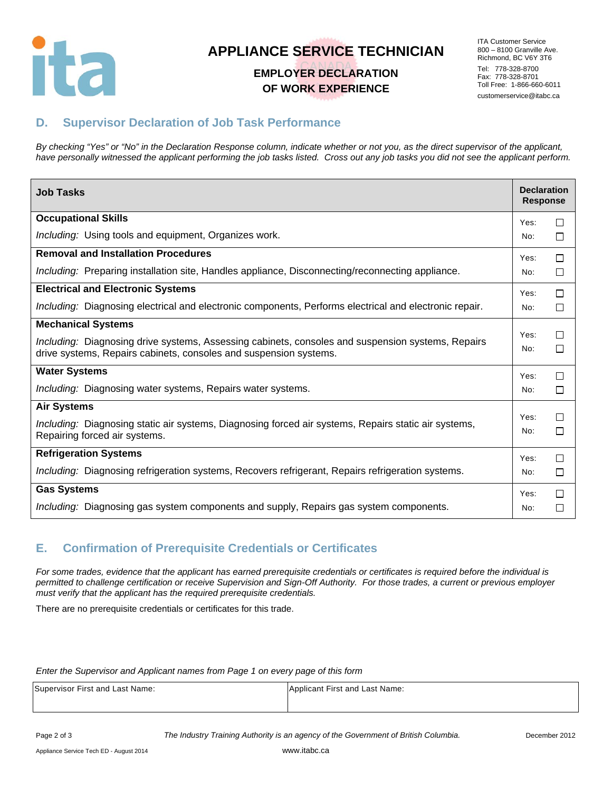

# **APPLIANCE SERVICE TECHNICIAN**

## **EMPLOYER DECLARATION OF WORK EXPERIENCE**

ITA Customer Service 800 – 8100 Granville Ave. Richmond, BC V6Y 3T6 Tel: 778-328-8700 Fax: 778-328-8701 Toll Free: 1-866-660-6011 customerservice@itabc.ca

## **D. Supervisor Declaration of Job Task Performance**

*By checking "Yes" or "No" in the Declaration Response column, indicate whether or not you, as the direct supervisor of the applicant, have personally witnessed the applicant performing the job tasks listed. Cross out any job tasks you did not see the applicant perform.* 

| <b>Job Tasks</b>                                                                                                                                                       | <b>Declaration</b><br><b>Response</b> |        |
|------------------------------------------------------------------------------------------------------------------------------------------------------------------------|---------------------------------------|--------|
| <b>Occupational Skills</b>                                                                                                                                             | Yes:                                  | □      |
| Including: Using tools and equipment, Organizes work.                                                                                                                  | No:                                   | □      |
| <b>Removal and Installation Procedures</b>                                                                                                                             | Yes:                                  | □      |
| Including: Preparing installation site, Handles appliance, Disconnecting/reconnecting appliance.                                                                       | No:                                   | □      |
| <b>Electrical and Electronic Systems</b>                                                                                                                               | Yes:                                  | $\Box$ |
| Including: Diagnosing electrical and electronic components, Performs electrical and electronic repair.                                                                 | No:                                   | $\Box$ |
| <b>Mechanical Systems</b>                                                                                                                                              |                                       |        |
| Including: Diagnosing drive systems, Assessing cabinets, consoles and suspension systems, Repairs<br>drive systems, Repairs cabinets, consoles and suspension systems. | Yes:<br>No:                           | П<br>□ |
| <b>Water Systems</b>                                                                                                                                                   | Yes:                                  | $\Box$ |
| Including: Diagnosing water systems, Repairs water systems.                                                                                                            | No:                                   | □      |
| <b>Air Systems</b>                                                                                                                                                     |                                       |        |
| Including: Diagnosing static air systems, Diagnosing forced air systems, Repairs static air systems,<br>Repairing forced air systems.                                  | Yes:<br>No:                           | П<br>□ |
| <b>Refrigeration Systems</b>                                                                                                                                           | Yes:                                  | □      |
| Including: Diagnosing refrigeration systems, Recovers refrigerant, Repairs refrigeration systems.                                                                      | No:                                   | □      |
| <b>Gas Systems</b>                                                                                                                                                     | Yes:                                  | □      |
| Including: Diagnosing gas system components and supply, Repairs gas system components.                                                                                 | No:                                   | П      |

## **E. Confirmation of Prerequisite Credentials or Certificates**

*For some trades, evidence that the applicant has earned prerequisite credentials or certificates is required before the individual is permitted to challenge certification or receive Supervision and Sign-Off Authority. For those trades, a current or previous employer must verify that the applicant has the required prerequisite credentials.* 

There are no prerequisite credentials or certificates for this trade.

#### *Enter the Supervisor and Applicant names from Page 1 on every page of this form*

| Supervisor First and Last Name: | Applicant First and Last Name: |
|---------------------------------|--------------------------------|
|                                 |                                |